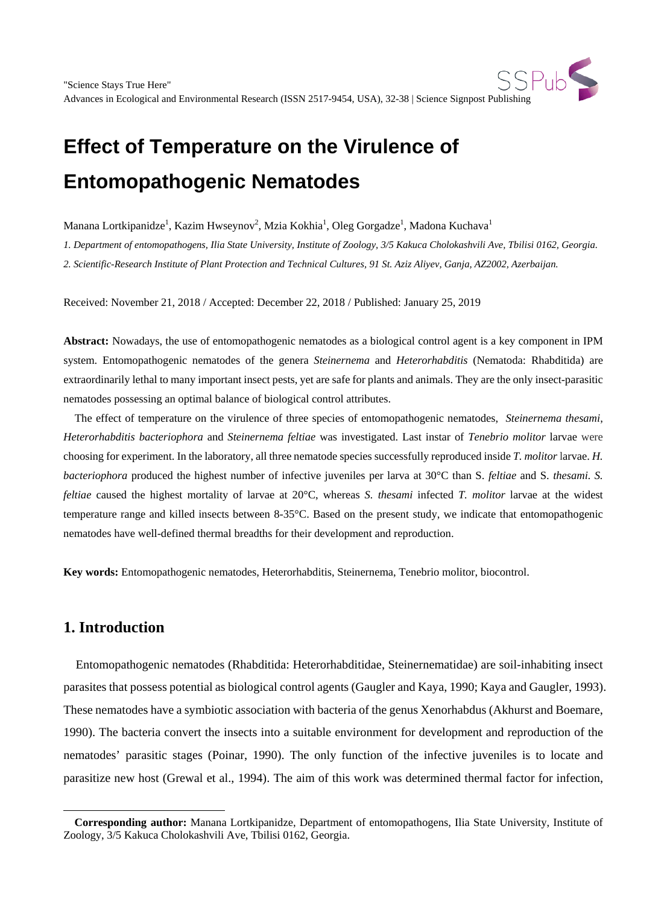# **Effect of Temperature on the Virulence of Entomopathogenic Nematodes**

Manana Lortkipanidze<sup>1</sup>, Kazim Hwseynov<sup>2</sup>, Mzia Kokhia<sup>1</sup>, Oleg Gorgadze<sup>1</sup>, Madona Kuchava<sup>1</sup>

*1. Department of entomopathogens, Ilia State University, Institute of Zoology, 3/5 Kakuca Cholokashvili Ave, Tbilisi 0162, Georgia. 2. Scientific-Research Institute of Plant Protection and Technical Cultures, 91 St. Aziz Aliyev, Ganja, AZ2002, Azerbaijan.*

Received: November 21, 2018 / Accepted: December 22, 2018 / Published: January 25, 2019

**Abstract:** Nowadays, the use of entomopathogenic nematodes as a biological control agent is a key component in IPM system. Entomopathogenic nematodes of the genera *Steinernema* and *Heterorhabditis* (Nematoda: Rhabditida) are extraordinarily lethal to many important insect pests, yet are safe for plants and animals. They are the only insect-parasitic nematodes possessing an optimal balance of biological control attributes.

The effect of temperature on the virulence of three species of entomopathogenic nematodes, *Steinernema thesami*, *Heterorhabditis bacteriophora* and *Steinernema feltiae* was investigated. Last instar of *Tenebrio molitor* larvae were choosing for experiment. In the laboratory, all three nematode species successfully reproduced inside *T. molitor* larvae. *H. bacteriophora* produced the highest number of infective juveniles per larva at 30°C than S. *feltiae* and S. *thesami. S. feltiae* caused the highest mortality of larvae at 20°C, whereas *S. thesami* infected *T. molitor* larvae at the widest temperature range and killed insects between 8-35°C. Based on the present study, we indicate that entomopathogenic nematodes have well-defined thermal breadths for their development and reproduction.

**Key words:** Entomopathogenic nematodes, Heterorhabditis, Steinernema, Tenebrio molitor, biocontrol.

# **1. Introduction**

 $\overline{a}$ 

Entomopathogenic nematodes (Rhabditida: Heterorhabditidae, Steinernematidae) are soil-inhabiting insect parasites that possess potential as biological control agents (Gaugler and Kaya, 1990; Kaya and Gaugler, 1993). These nematodes have a symbiotic association with bacteria of the genus Xenorhabdus (Akhurst and Boemare, 1990). The bacteria convert the insects into a suitable environment for development and reproduction of the nematodes' parasitic stages (Poinar, 1990). The only function of the infective juveniles is to locate and parasitize new host (Grewal et al., 1994). The aim of this work was determined thermal factor for infection,

<span id="page-0-0"></span>**Corresponding author:** Manana Lortkipanidze, Department of entomopathogens, Ilia State University, Institute of Zoology, 3/5 Kakuca Cholokashvili Ave, Tbilisi 0162, Georgia.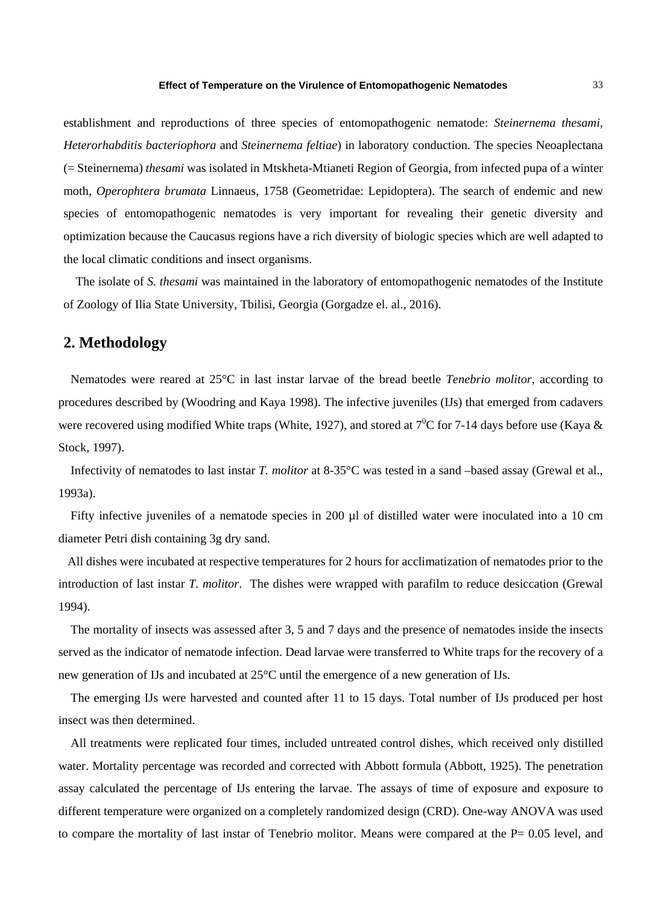#### **Effect of Temperature on the Virulence of Entomopathogenic Nematodes** 33

establishment and reproductions of three species of entomopathogenic nematode: *Steinernema thesami, Heterorhabditis bacteriophora* and *Steinernema feltiae*) in laboratory conduction. The species Neoaplectana (= Steinernema) *thesami* was isolated in Mtskheta-Mtianeti Region of Georgia, from infected pupa of a winter moth, *Operophtera brumata* Linnaeus, 1758 (Geometridae: Lepidoptera). The search of endemic and new species of entomopathogenic nematodes is very important for revealing their genetic diversity and optimization because the Caucasus regions have a rich diversity of biologic species which are well adapted to the local climatic conditions and insect organisms.

The isolate of *S. thesami* was maintained in the laboratory of entomopathogenic nematodes of the Institute of Zoology of Ilia State University, Tbilisi, Georgia (Gorgadze el. al., 2016).

### **2. Methodology**

Nematodes were reared at 25°C in last instar larvae of the bread beetle *Tenebrio molitor,* according to procedures described by (Woodring and Kaya 1998). The infective juveniles (IJs) that emerged from cadavers were recovered using modified White traps (White, 1927), and stored at  $7^0C$  for 7-14 days before use (Kaya & Stock, 1997).

Infectivity of nematodes to last instar *T. molitor* at 8-35°C was tested in a sand –based assay (Grewal et al., 1993a).

Fifty infective juveniles of a nematode species in 200 µl of distilled water were inoculated into a 10 cm diameter Petri dish containing 3g dry sand.

 All dishes were incubated at respective temperatures for 2 hours for acclimatization of nematodes prior to the introduction of last instar *T. molitor*. The dishes were wrapped with parafilm to reduce desiccation (Grewal 1994).

The mortality of insects was assessed after 3, 5 and 7 days and the presence of nematodes inside the insects served as the indicator of nematode infection. Dead larvae were transferred to White traps for the recovery of a new generation of IJs and incubated at 25°C until the emergence of a new generation of IJs.

The emerging IJs were harvested and counted after 11 to 15 days. Total number of IJs produced per host insect was then determined.

All treatments were replicated four times, included untreated control dishes, which received only distilled water. Mortality percentage was recorded and corrected with Abbott formula (Abbott, 1925). The penetration assay calculated the percentage of IJs entering the larvae. The assays of time of exposure and exposure to different temperature were organized on a completely randomized design (CRD). One-way ANOVA was used to compare the mortality of last instar of Tenebrio molitor. Means were compared at the  $P= 0.05$  level, and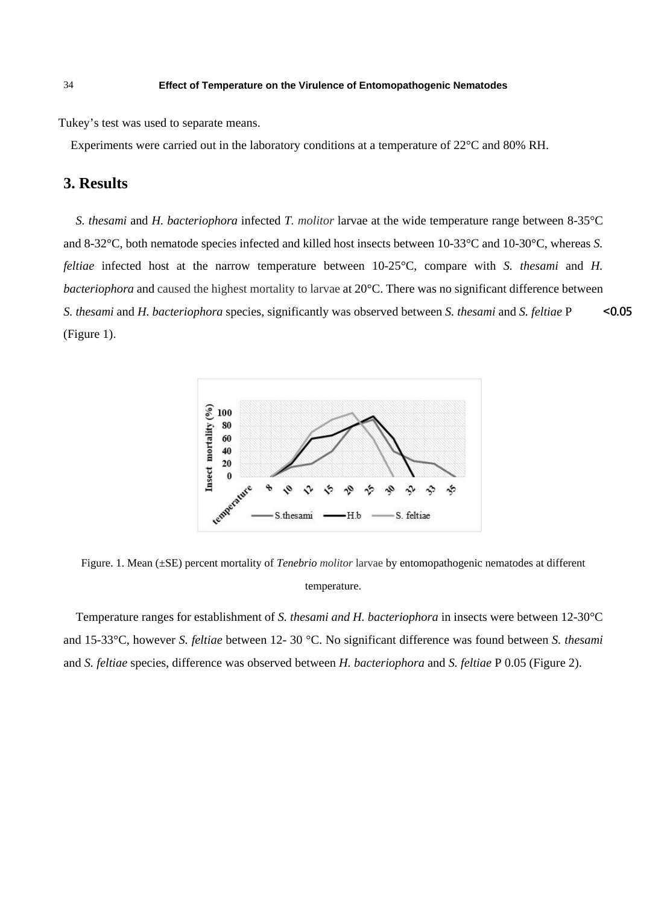Tukey's test was used to separate means.

Experiments were carried out in the laboratory conditions at a temperature of 22°C and 80% RH.

## **3. Results**

*S. thesami* and *H. bacteriophora* infected *T. molitor* larvae at the wide temperature range between 8-35°C and 8-32°C, both nematode species infected and killed host insects between 10-33°C and 10-30°C, whereas *S. feltiae* infected host at the narrow temperature between 10-25°C, compare with *S. thesami* and *H. bacteriophora* and caused the highest mortality to larvae at 20°C. There was no significant difference between *S. thesami* and *H. bacteriophora* species, significantly was observed between *S. thesami* and *S. feltiae* P **˂0.05** (Figure 1).



Figure. 1. Mean (±SE) percent mortality of *Tenebrio molitor* larvae by entomopathogenic nematodes at different temperature.

Temperature ranges for establishment of *S. thesami and H. bacteriophora* in insects were between 12-30°C and 15-33°C, however *S. feltiae* between 12- 30 °C. No significant difference was found between *S. thesami* and *S. feltiae* species, difference was observed between *H. bacteriophora* and *S. feltiae* P 0.05 (Figure 2).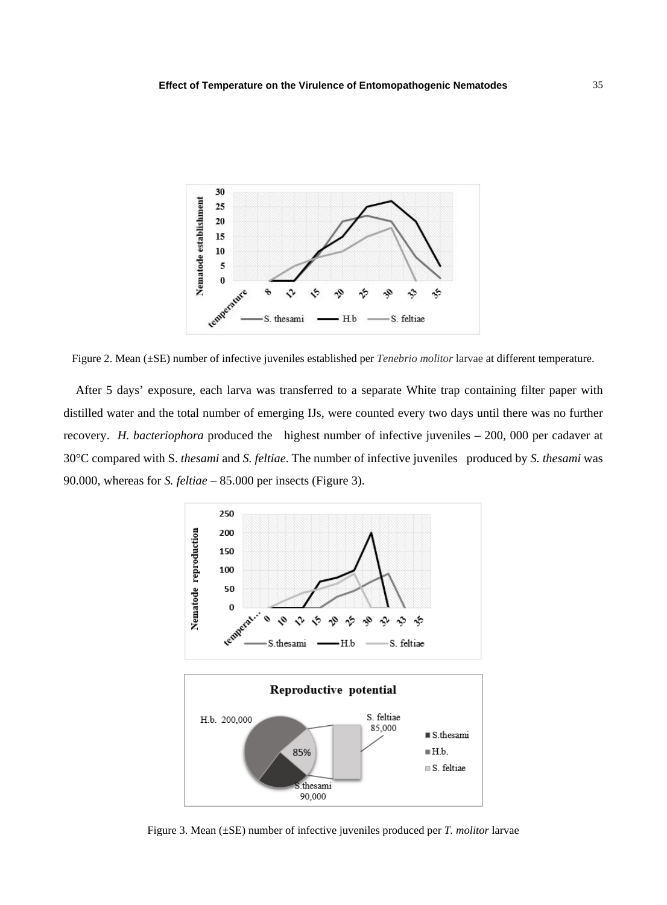

Figure 2. Mean (±SE) number of infective juveniles established per *Tenebrio molitor* larvae at different temperature.

After 5 days' exposure, each larva was transferred to a separate White trap containing filter paper with distilled water and the total number of emerging IJs, were counted every two days until there was no further recovery. *H. bacteriophora* produced the highest number of infective juveniles – 200, 000 per cadaver at 30°C compared with S. *thesami* and *S. feltiae*. The number of infective juveniles produced by *S. thesami* was 90.000, whereas for *S. feltiae* – 85.000 per insects (Figure 3).



Figure 3. Mean (±SE) number of infective juveniles produced per *T. molitor* larvae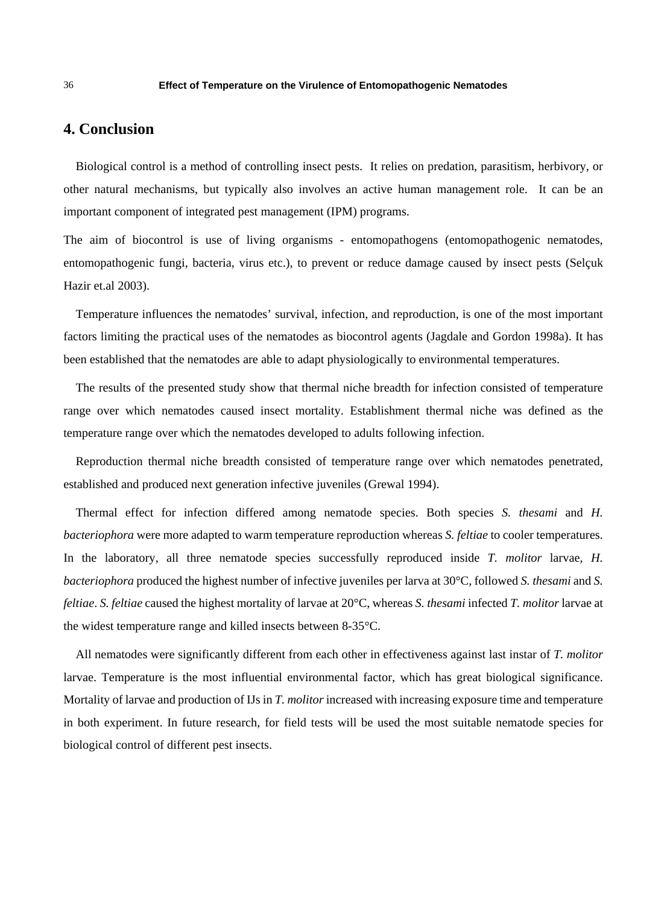#### 36 **Effect of Temperature on the Virulence of Entomopathogenic Nematodes**

## **4. Conclusion**

Biological control is a method of controlling insect pests. It relies on predation, parasitism, herbivory, or other natural mechanisms, but typically also involves an active human management role. It can be an important component of integrated pest management (IPM) programs.

The aim of biocontrol is use of living organisms - entomopathogens (entomopathogenic nematodes, entomopathogenic fungi, bacteria, virus etc.), to prevent or reduce damage caused by insect pests (Selçuk Hazir et.al 2003).

Temperature influences the nematodes' survival, infection, and reproduction, is one of the most important factors limiting the practical uses of the nematodes as biocontrol agents (Jagdale and Gordon 1998a). It has been established that the nematodes are able to adapt physiologically to environmental temperatures.

The results of the presented study show that thermal niche breadth for infection consisted of temperature range over which nematodes caused insect mortality. Establishment thermal niche was defined as the temperature range over which the nematodes developed to adults following infection.

Reproduction thermal niche breadth consisted of temperature range over which nematodes penetrated, established and produced next generation infective juveniles (Grewal 1994).

Thermal effect for infection differed among nematode species. Both species *S. thesami* and *H. bacteriophora* were more adapted to warm temperature reproduction whereas *S. feltiae* to cooler temperatures. In the laboratory, all three nematode species successfully reproduced inside *T. molitor* larvae, *H. bacteriophora* produced the highest number of infective juveniles per larva at 30°C, followed *S. thesami* and *S. feltiae*. *S. feltiae* caused the highest mortality of larvae at 20°C, whereas *S. thesami* infected *T. molitor* larvae at the widest temperature range and killed insects between 8-35°C.

All nematodes were significantly different from each other in effectiveness against last instar of *T. molitor* larvae. Temperature is the most influential environmental factor, which has great biological significance. Mortality of larvae and production of IJs in *T. molitor* increased with increasing exposure time and temperature in both experiment. In future research, for field tests will be used the most suitable nematode species for biological control of different pest insects.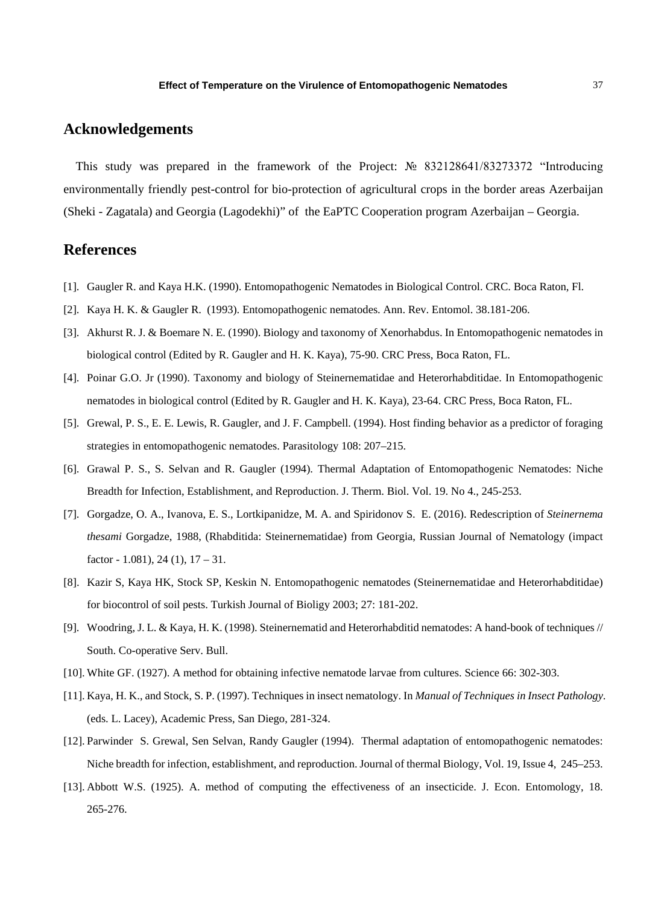#### **Acknowledgements**

This study was prepared in the framework of the Project: № 832128641/83273372 "Introducing environmentally friendly pest-control for bio-protection of agricultural crops in the border areas Azerbaijan (Sheki - Zagatala) and Georgia (Lagodekhi)" of the EaPTC Cooperation program Azerbaijan – Georgia.

### **References**

- [1]. Gaugler R. and Kaya H.K. (1990). Entomopathogenic Nematodes in Biological Control. CRC. Boca Raton, Fl.
- [2]. Kaya H. K. & Gaugler R. (1993). Entomopathogenic nematodes. Ann. Rev. Entomol. 38.181-206.
- [3]. Akhurst R. J. & Boemare N. E. (1990). Biology and taxonomy of Xenorhabdus. In Entomopathogenic nematodes in biological control (Edited by R. Gaugler and H. K. Kaya), 75-90. CRC Press, Boca Raton, FL.
- [4]. Poinar G.O. Jr (1990). Taxonomy and biology of Steinernematidae and Heterorhabditidae. In Entomopathogenic nematodes in biological control (Edited by R. Gaugler and H. K. Kaya), 23-64. CRC Press, Boca Raton, FL.
- [5]. Grewal, P. S., E. E. Lewis, R. Gaugler, and J. F. Campbell. (1994). Host finding behavior as a predictor of foraging strategies in entomopathogenic nematodes. Parasitology 108: 207–215.
- [6]. Grawal P. S., S. Selvan and R. Gaugler (1994). Thermal Adaptation of Entomopathogenic Nematodes: Niche Breadth for Infection, Establishment, and Reproduction. J. Therm. Biol. Vol. 19. No 4., 245-253.
- [7]. Gorgadze, O. A., Ivanova, E. S., Lortkipanidze, M. A. and Spiridonov S. E. (2016). Redescription of *Steinernema thesami* Gorgadze, 1988, (Rhabditida: Steinernematidae) from Georgia, Russian Journal of Nematology (impact factor - 1.081), 24 (1),  $17 - 31$ .
- [8]. Kazir S, Kaya HK, Stock SP, Keskin N. Entomopathogenic nematodes (Steinernematidae and Heterorhabditidae) for biocontrol of soil pests. Turkish Journal of Bioligy 2003; 27: 181-202.
- [9]. Woodring, J. L. & Kaya, H. K. (1998). Steinernematid and Heterorhabditid nematodes: A hand-book of techniques // South. Co-operative Serv. Bull.
- [10]. White GF. (1927). A method for obtaining infective nematode larvae from cultures. Science 66: 302-303.
- [11]. Kaya, H. K., and Stock, S. P. (1997). Techniques in insect nematology. In *Manual of Techniques in Insect Pathology*. (eds. L. Lacey), Academic Press, San Diego, 281-324.
- [12]. [Parwinder S. Grewal, Sen Selvan, Randy Gaugler](http://www.sciencedirect.com/science/article/pii/0306456594900477) (1994). Thermal adaptation of entomopathogenic nematodes: Niche breadth for infection, establishment, and reproduction. Journal of thermal Biology, Vol. 19, Issue 4, 245–253.
- [13]. Abbott W.S. (1925). A. method of computing the effectiveness of an insecticide. J. Econ. Entomology, 18. 265-276.